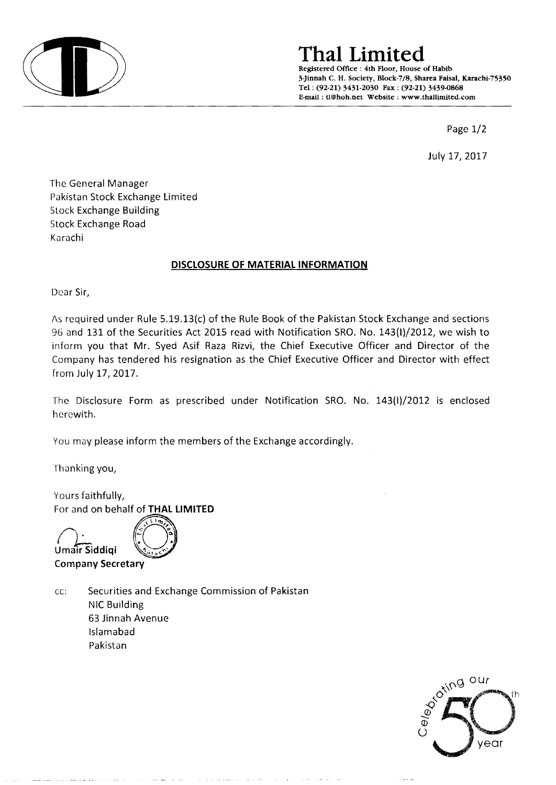

# **ThaI Limited**

Registered Office: 4th Floor, House of Habib 3-Jinnah C. H. Society, Block-7/8, Sharea Faisal, Karachi-75350 Tel: (92-21) 3431-2030 Fax: (92-21) 3439-0868 E-mail: tl@hoh.net Website: www.thallimited.com

Page 1/2

July 17, 2017

The General Manager Pakistan Stock Exchange Limited Stock Exchange Building Stock Exchange Road Karachi

### **DISCLOSURE OF MATERIAL INFORMATION**

Dear Sir,

As required under Rule 5.19.13(c) of the Rule Book of the Pakistan Stock Exchange and sections 96 and 131 of the Securities Act 2015 read with Notification SRO. No. 143(I)/2012, we wish to inform you that Mr. Syed Asif Raza Rizvi, the Chief Executive Officer and Director of the Company has tendered his resignation as the Chief Executive Officer and Director with effect from July 17, 2017.

The Disclosure Form as prescribed under Notification SRO. No. 143(1)/2012 is enclosed herewith.

You may please inform the members of the Exchange accordingly.

Thanking you,

Yours faithfully, For and on behalf of **THAL LIMITED** 

Umair Siddigi Company **Secretary** 

cc: Securities and Exchange Commission of Pakistan NIC Building 63 Jinnah Avenue Islamabad Pakistan